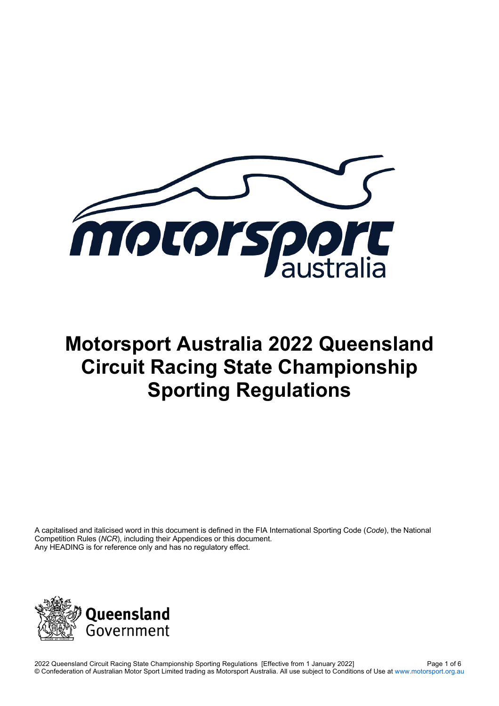

# **Motorsport Australia 2022 Queensland Circuit Racing State Championship Sporting Regulations**

A capitalised and italicised word in this document is defined in the FIA International Sporting Code (*Code*), the National Competition Rules (*NCR*), including their Appendices or this document. Any HEADING is for reference only and has no regulatory effect.

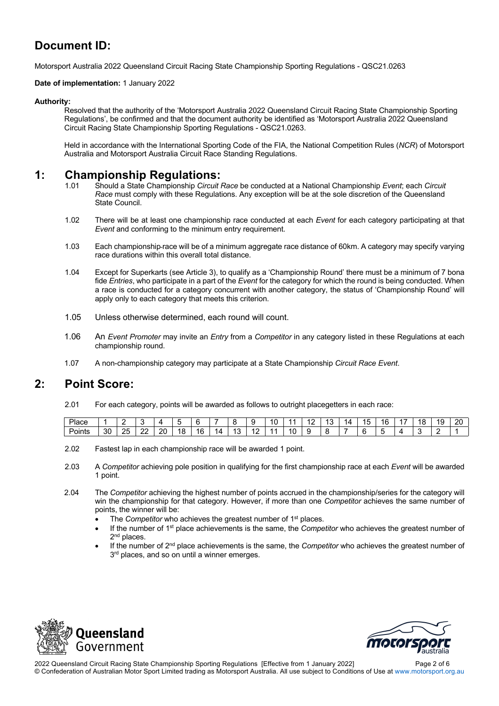# **Document ID:**

Motorsport Australia 2022 Queensland Circuit Racing State Championship Sporting Regulations - QSC21.0263

#### **Date of implementation:** 1 January 2022

#### **Authority:**

Resolved that the authority of the 'Motorsport Australia 2022 Queensland Circuit Racing State Championship Sporting Regulations', be confirmed and that the document authority be identified as 'Motorsport Australia 2022 Queensland Circuit Racing State Championship Sporting Regulations - QSC21.0263.

Held in accordance with the International Sporting Code of the FIA, the National Competition Rules (*NCR*) of Motorsport Australia and Motorsport Australia Circuit Race Standing Regulations.

#### **1: Championship Regulations:**

- 1.01 Should a State Championship *Circuit Race* be conducted at a National Championship *Event*; each *Circuit Race* must comply with these Regulations. Any exception will be at the sole discretion of the Queensland State Council.
- 1.02 There will be at least one championship race conducted at each *Event* for each category participating at that *Event* and conforming to the minimum entry requirement.
- 1.03 Each championship race will be of a minimum aggregate race distance of 60km. A category may specify varying race durations within this overall total distance.
- 1.04 Except for Superkarts (see Article 3), to qualify as a 'Championship Round' there must be a minimum of 7 bona fide *Entries*, who participate in a part of the *Event* for the category for which the round is being conducted. When a race is conducted for a category concurrent with another category, the status of 'Championship Round' will apply only to each category that meets this criterion.
- 1.05 Unless otherwise determined, each round will count.
- 1.06 An *Event Promoter* may invite an *Entry* from a *Competitor* in any category listed in these Regulations at each championship round.
- 1.07 A non-championship category may participate at a State Championship *Circuit Race Event*.

### **2: Point Score:**

2.01 For each category, points will be awarded as follows to outright placegetters in each race:

| Place         |    |          |              |    |         |    |    |             |          |    |   | -<br>$\cdot$ | 14 | . .<br>15 | 16 | 18 | 19 | 20 |
|---------------|----|----------|--------------|----|---------|----|----|-------------|----------|----|---|--------------|----|-----------|----|----|----|----|
| - -<br>Points | 30 | つら<br>∠⊾ | $\sim$<br>-- | 20 | ١o<br>o | 16 | IД | $\sim$<br>◡ | л<br>. . | ١U | J |              |    |           |    |    |    |    |

- 2.02 Fastest lap in each championship race will be awarded 1 point.
- 2.03 A *Competitor* achieving pole position in qualifying for the first championship race at each *Event* will be awarded 1 point.
- 2.04 The *Competitor* achieving the highest number of points accrued in the championship/series for the category will win the championship for that category. However, if more than one *Competitor* achieves the same number of points, the winner will be:
	- The *Competitor* who achieves the greatest number of 1<sup>st</sup> places.
	- If the number of 1st place achievements is the same, the *Competitor* who achieves the greatest number of 2<sup>nd</sup> places.
	- If the number of 2nd place achievements is the same, the *Competitor* who achieves the greatest number of  $3<sup>rd</sup>$  places, and so on until a winner emerges.





2022 Queensland Circuit Racing State Championship Sporting Regulations [Effective from 1 January 2022] Page 2 of 6 © Confederation of Australian Motor Sport Limited trading as Motorsport Australia. All use subject to Conditions of Use at www.motorsport.org.au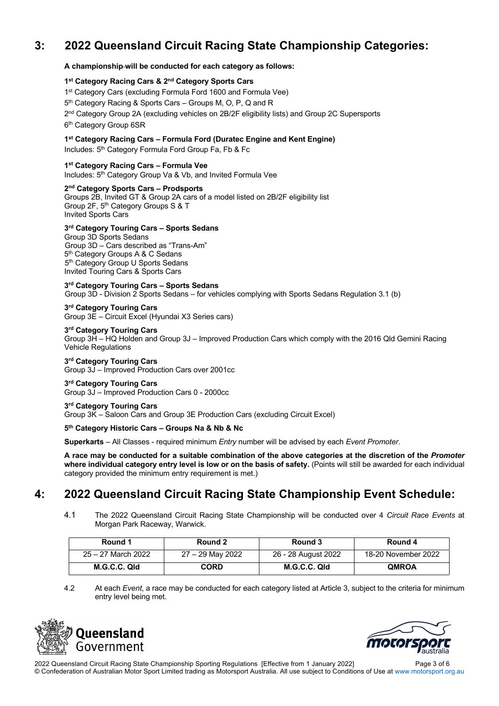# **3: 2022 Queensland Circuit Racing State Championship Categories:**

#### **A championship will be conducted for each category as follows:**

#### **1st Category Racing Cars & 2nd Category Sports Cars**

- 1<sup>st</sup> Category Cars (excluding Formula Ford 1600 and Formula Vee)
- 5<sup>th</sup> Category Racing & Sports Cars Groups M, O, P, Q and R
- 2<sup>nd</sup> Category Group 2A (excluding vehicles on 2B/2F eligibility lists) and Group 2C Supersports
- 6<sup>th</sup> Category Group 6SR

#### **1st Category Racing Cars – Formula Ford (Duratec Engine and Kent Engine)**

Includes: 5<sup>th</sup> Category Formula Ford Group Fa, Fb & Fc

#### **1st Category Racing Cars – Formula Vee**

Includes: 5<sup>th</sup> Category Group Va & Vb, and Invited Formula Vee

#### **2nd Category Sports Cars – Prodsports**

Groups 2B, Invited GT & Group 2A cars of a model listed on 2B/2F eligibility list Group 2F, 5th Category Groups S & T Invited Sports Cars

#### **3rd Category Touring Cars – Sports Sedans**

Group 3D Sports Sedans Group 3D – Cars described as "Trans-Am" 5<sup>th</sup> Category Groups A & C Sedans 5<sup>th</sup> Category Group U Sports Sedans Invited Touring Cars & Sports Cars

**3rd Category Touring Cars – Sports Sedans**

Group 3D - Division 2 Sports Sedans – for vehicles complying with Sports Sedans Regulation 3.1 (b)

**3rd Category Touring Cars** Group 3E – Circuit Excel (Hyundai X3 Series cars)

#### **3rd Category Touring Cars**

Group 3H – HQ Holden and Group 3J – Improved Production Cars which comply with the 2016 Qld Gemini Racing Vehicle Regulations

#### **3rd Category Touring Cars**

Group 3J – Improved Production Cars over 2001cc

#### **3rd Category Touring Cars**

Group 3J – Improved Production Cars 0 - 2000cc

#### **3rd Category Touring Cars**

Group 3K – Saloon Cars and Group 3E Production Cars (excluding Circuit Excel)

#### **5th Category Historic Cars – Groups Na & Nb & Nc**

**Superkarts** – All Classes - required minimum *Entry* number will be advised by each *Event Promoter*.

**A race may be conducted for a suitable combination of the above categories at the discretion of the** *Promoter* **where individual category entry level is low or on the basis of safety.** (Points will still be awarded for each individual category provided the minimum entry requirement is met.)

## **4: 2022 Queensland Circuit Racing State Championship Event Schedule:**

4.1 The 2022 Queensland Circuit Racing State Championship will be conducted over 4 *Circuit Race Events* at Morgan Park Raceway, Warwick.

| Round 1            | Round 2          | Round 3             | Round 4             |
|--------------------|------------------|---------------------|---------------------|
| 25 – 27 March 2022 | 27 - 29 May 2022 | 26 - 28 August 2022 | 18-20 November 2022 |
| M.G.C.C. Qld       | CORD             | M.G.C.C. Qld        | <b>QMROA</b>        |

4.2 At each *Event*, a race may be conducted for each category listed at Article 3, subject to the criteria for minimum entry level being met.





2022 Queensland Circuit Racing State Championship Sporting Regulations [Effective from 1 January 2022] Page 3 of 6 © Confederation of Australian Motor Sport Limited trading as Motorsport Australia. All use subject to Conditions of Use at www.motorsport.org.au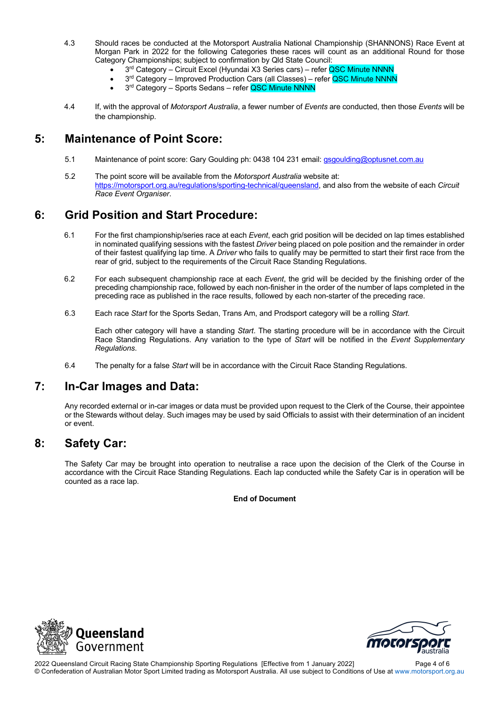- 4.3 Should races be conducted at the Motorsport Australia National Championship (SHANNONS) Race Event at Morgan Park in 2022 for the following Categories these races will count as an additional Round for those Category Championships; subject to confirmation by Qld State Council:
	- 3<sup>rd</sup> Category Circuit Excel (Hyundai X3 Series cars) refer QSC Minute NNNN
	- 3<sup>rd</sup> Category Improved Production Cars (all Classes) refer QSC Minute NNNN
	- 3<sup>rd</sup> Category Sports Sedans refer QSC Minute NNNN
- 4.4 If, with the approval of *Motorsport Australia*, a fewer number of *Events* are conducted, then those *Events* will be the championship.

### **5: Maintenance of Point Score:**

- 5.1 Maintenance of point score: Gary Goulding ph: 0438 104 231 email: gsgoulding@optusnet.com.au
- 5.2 The point score will be available from the *Motorsport Australia* website at: https://motorsport.org.au/regulations/sporting-technical/queensland, and also from the website of each *Circuit Race Event Organiser*.

# **6: Grid Position and Start Procedure:**

- 6.1 For the first championship/series race at each *Event*, each grid position will be decided on lap times established in nominated qualifying sessions with the fastest *Driver* being placed on pole position and the remainder in order of their fastest qualifying lap time. A *Driver* who fails to qualify may be permitted to start their first race from the rear of grid, subject to the requirements of the Circuit Race Standing Regulations.
- 6.2 For each subsequent championship race at each *Event*, the grid will be decided by the finishing order of the preceding championship race, followed by each non-finisher in the order of the number of laps completed in the preceding race as published in the race results, followed by each non-starter of the preceding race.
- 6.3 Each race *Start* for the Sports Sedan, Trans Am, and Prodsport category will be a rolling *Start*.

Each other category will have a standing *Start*. The starting procedure will be in accordance with the Circuit Race Standing Regulations. Any variation to the type of *Start* will be notified in the *Event Supplementary Regulations*.

6.4 The penalty for a false *Start* will be in accordance with the Circuit Race Standing Regulations.

# **7: In-Car Images and Data:**

Any recorded external or in-car images or data must be provided upon request to the Clerk of the Course, their appointee or the Stewards without delay. Such images may be used by said Officials to assist with their determination of an incident or event.

## **8: Safety Car:**

The Safety Car may be brought into operation to neutralise a race upon the decision of the Clerk of the Course in accordance with the Circuit Race Standing Regulations. Each lap conducted while the Safety Car is in operation will be counted as a race lap.

**End of Document**





2022 Queensland Circuit Racing State Championship Sporting Regulations [Effective from 1 January 2022] Page 4 of 6 © Confederation of Australian Motor Sport Limited trading as Motorsport Australia. All use subject to Conditions of Use at www.motorsport.org.au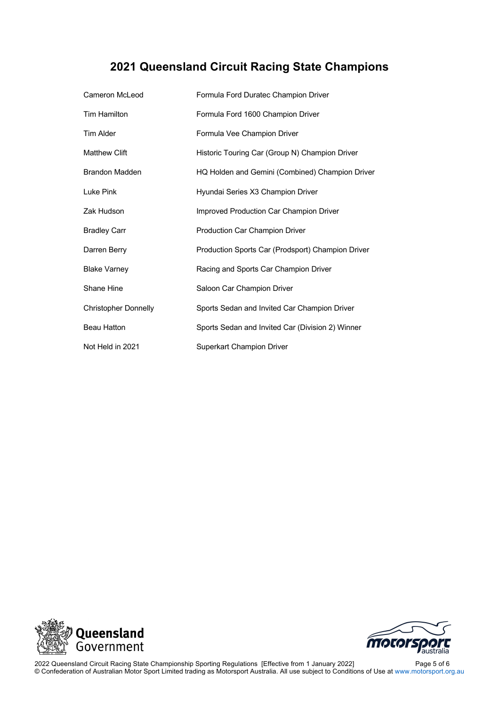# **2021 Queensland Circuit Racing State Champions**

| Cameron McLeod              | Formula Ford Duratec Champion Driver              |
|-----------------------------|---------------------------------------------------|
| Tim Hamilton                | Formula Ford 1600 Champion Driver                 |
| <b>Tim Alder</b>            | Formula Vee Champion Driver                       |
| <b>Matthew Clift</b>        | Historic Touring Car (Group N) Champion Driver    |
| <b>Brandon Madden</b>       | HQ Holden and Gemini (Combined) Champion Driver   |
| Luke Pink                   | Hyundai Series X3 Champion Driver                 |
| Zak Hudson                  | Improved Production Car Champion Driver           |
| <b>Bradley Carr</b>         | Production Car Champion Driver                    |
| Darren Berry                | Production Sports Car (Prodsport) Champion Driver |
| <b>Blake Varney</b>         | Racing and Sports Car Champion Driver             |
| Shane Hine                  | Saloon Car Champion Driver                        |
| <b>Christopher Donnelly</b> | Sports Sedan and Invited Car Champion Driver      |
| <b>Beau Hatton</b>          | Sports Sedan and Invited Car (Division 2) Winner  |
| Not Held in 2021            | Superkart Champion Driver                         |





2022 Queensland Circuit Racing State Championship Sporting Regulations [Effective from 1 January 2022] Page 5 of 6 © Confederation of Australian Motor Sport Limited trading as Motorsport Australia. All use subject to Conditions of Use at www.motorsport.org.au